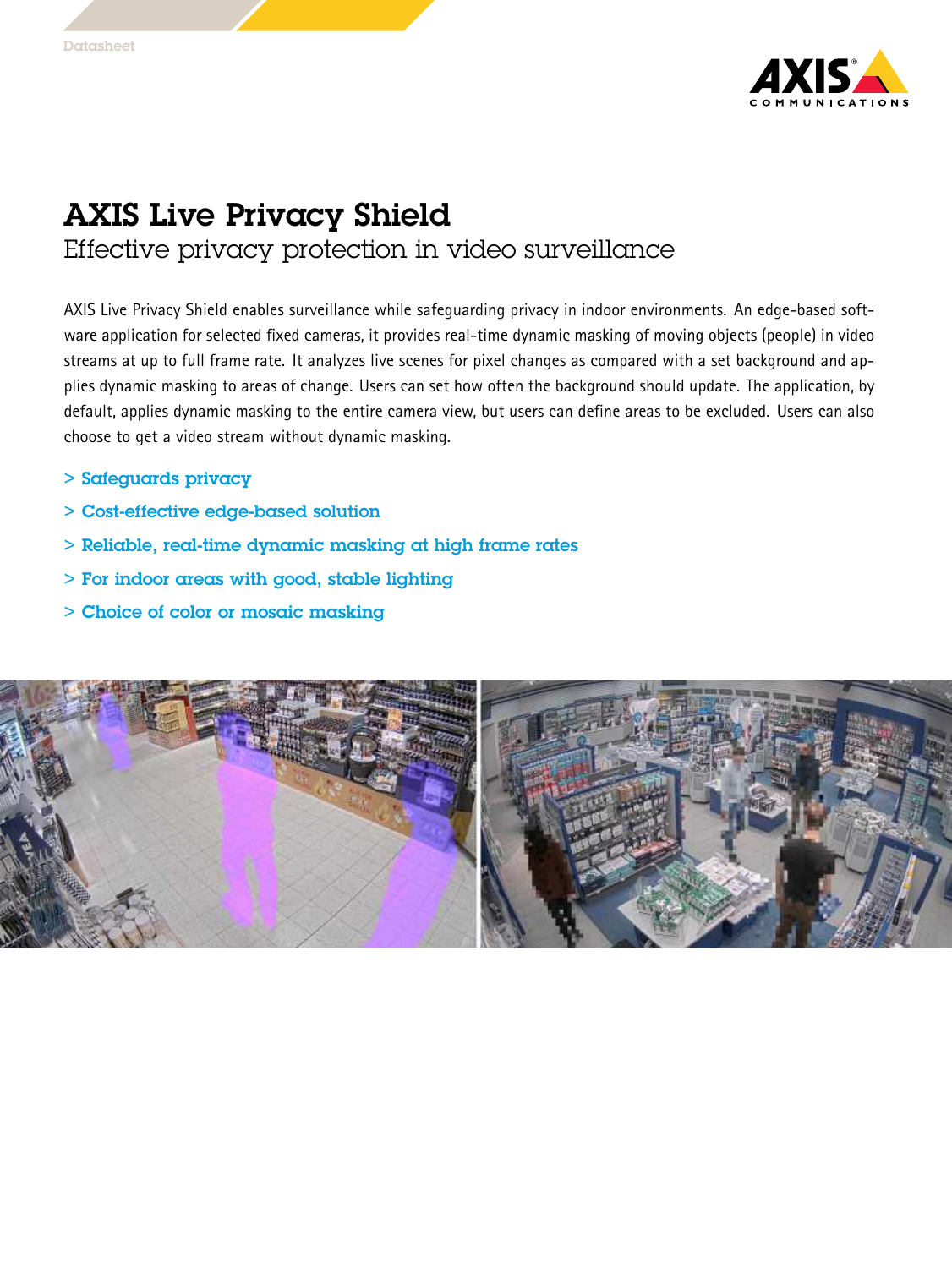

## AXIS Live Privacy Shield

Effective privacy protection in video surveillance

AXIS Live Privacy Shield enables surveillance while safeguarding privacy in indoor environments. An edge-based software application for selected fixed cameras, it provides real-time dynamic masking of moving objects (people) in video streams at up to full frame rate. It analyzes live scenes for pixel changes as compared with <sup>a</sup> set background and applies dynamic masking to areas of change. Users can set how often the background should update. The application, by default, applies dynamic masking to the entire camera view, but users can define areas to be excluded. Users can also choose to get <sup>a</sup> video stream without dynamic masking.

- > Safeguards privacy
- > Cost-effective edge-based solution
- > Reliable, real-time dynamic masking at high frame rates
- > For indoor areas with good, stable lighting
- > Choice of color or mosaic masking